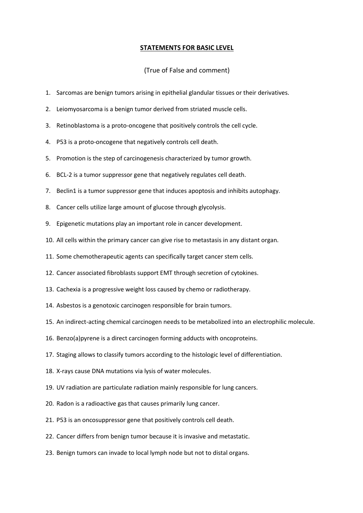## **STATEMENTS FOR BASIC LEVEL**

## (True of False and comment)

- 1. Sarcomas are benign tumors arising in epithelial glandular tissues or their derivatives.
- 2. Leiomyosarcoma is a benign tumor derived from striated muscle cells.
- 3. Retinoblastoma is a proto-oncogene that positively controls the cell cycle.
- 4. P53 is a proto-oncogene that negatively controls cell death.
- 5. Promotion is the step of carcinogenesis characterized by tumor growth.
- 6. BCL-2 is a tumor suppressor gene that negatively regulates cell death.
- 7. Beclin1 is a tumor suppressor gene that induces apoptosis and inhibits autophagy.
- 8. Cancer cells utilize large amount of glucose through glycolysis.
- 9. Epigenetic mutations play an important role in cancer development.
- 10. All cells within the primary cancer can give rise to metastasis in any distant organ.
- 11. Some chemotherapeutic agents can specifically target cancer stem cells.
- 12. Cancer associated fibroblasts support EMT through secretion of cytokines.
- 13. Cachexia is a progressive weight loss caused by chemo or radiotherapy.
- 14. Asbestos is a genotoxic carcinogen responsible for brain tumors.
- 15. An indirect-acting chemical carcinogen needs to be metabolized into an electrophilic molecule.
- 16. Benzo(a)pyrene is a direct carcinogen forming adducts with oncoproteins.
- 17. Staging allows to classify tumors according to the histologic level of differentiation.
- 18. X-rays cause DNA mutations via lysis of water molecules.
- 19. UV radiation are particulate radiation mainly responsible for lung cancers.
- 20. Radon is a radioactive gas that causes primarily lung cancer.
- 21. P53 is an oncosuppressor gene that positively controls cell death.
- 22. Cancer differs from benign tumor because it is invasive and metastatic.
- 23. Benign tumors can invade to local lymph node but not to distal organs.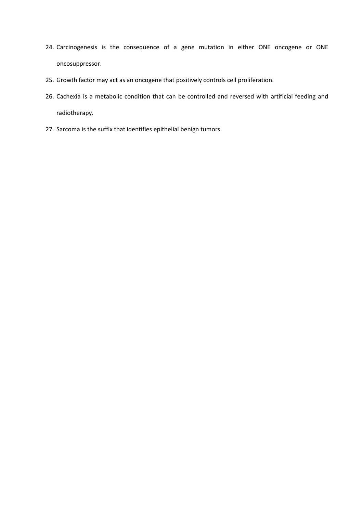- 24. Carcinogenesis is the consequence of a gene mutation in either ONE oncogene or ONE oncosuppressor.
- 25. Growth factor may act as an oncogene that positively controls cell proliferation.
- 26. Cachexia is a metabolic condition that can be controlled and reversed with artificial feeding and radiotherapy.
- 27. Sarcoma is the suffix that identifies epithelial benign tumors.